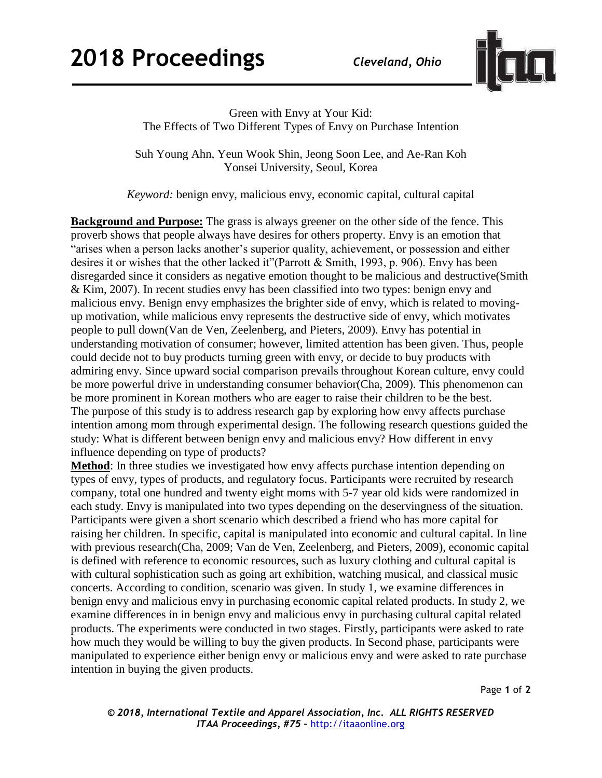

Green with Envy at Your Kid: The Effects of Two Different Types of Envy on Purchase Intention

Suh Young Ahn, Yeun Wook Shin, Jeong Soon Lee, and Ae-Ran Koh Yonsei University, Seoul, Korea

*Keyword:* benign envy, malicious envy, economic capital, cultural capital

**Background and Purpose:** The grass is always greener on the other side of the fence. This proverb shows that people always have desires for others property. Envy is an emotion that "arises when a person lacks another's superior quality, achievement, or possession and either desires it or wishes that the other lacked it"(Parrott & Smith, 1993, p. 906). Envy has been disregarded since it considers as negative emotion thought to be malicious and destructive(Smith & Kim, 2007). In recent studies envy has been classified into two types: benign envy and malicious envy. Benign envy emphasizes the brighter side of envy, which is related to movingup motivation, while malicious envy represents the destructive side of envy, which motivates people to pull down(Van de Ven, Zeelenberg, and Pieters, 2009). Envy has potential in understanding motivation of consumer; however, limited attention has been given. Thus, people could decide not to buy products turning green with envy, or decide to buy products with admiring envy. Since upward social comparison prevails throughout Korean culture, envy could be more powerful drive in understanding consumer behavior(Cha, 2009). This phenomenon can be more prominent in Korean mothers who are eager to raise their children to be the best. The purpose of this study is to address research gap by exploring how envy affects purchase intention among mom through experimental design. The following research questions guided the study: What is different between benign envy and malicious envy? How different in envy influence depending on type of products?

**Method**: In three studies we investigated how envy affects purchase intention depending on types of envy, types of products, and regulatory focus. Participants were recruited by research company, total one hundred and twenty eight moms with 5-7 year old kids were randomized in each study. Envy is manipulated into two types depending on the deservingness of the situation. Participants were given a short scenario which described a friend who has more capital for raising her children. In specific, capital is manipulated into economic and cultural capital. In line with previous research(Cha, 2009; Van de Ven, Zeelenberg, and Pieters, 2009), economic capital is defined with reference to economic resources, such as luxury clothing and cultural capital is with cultural sophistication such as going art exhibition, watching musical, and classical music concerts. According to condition, scenario was given. In study 1, we examine differences in benign envy and malicious envy in purchasing economic capital related products. In study 2, we examine differences in in benign envy and malicious envy in purchasing cultural capital related products. The experiments were conducted in two stages. Firstly, participants were asked to rate how much they would be willing to buy the given products. In Second phase, participants were manipulated to experience either benign envy or malicious envy and were asked to rate purchase intention in buying the given products.

Page **1** of **2**

*© 2018, International Textile and Apparel Association, Inc. ALL RIGHTS RESERVED ITAA Proceedings, #75 –* [http://itaaonline.org](http://itaaonline.org/)